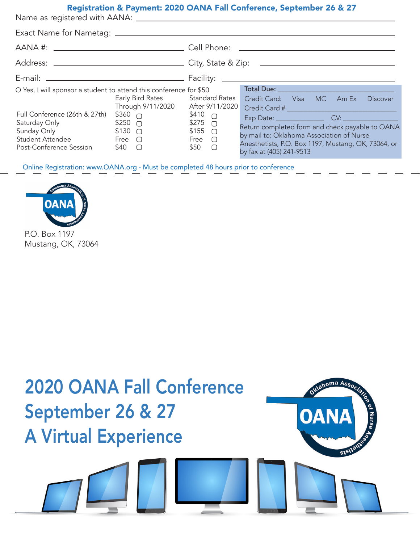#### Registration & Payment: 2020 OANA Fall Conference, September 26 & 27

Name as registered with AANA:

| Exact Name for Nametag: ____________________                                                                                                                                                                                                                                                                                            |  |                                                                                                                                |                                                                                                                                                                                                                                  |
|-----------------------------------------------------------------------------------------------------------------------------------------------------------------------------------------------------------------------------------------------------------------------------------------------------------------------------------------|--|--------------------------------------------------------------------------------------------------------------------------------|----------------------------------------------------------------------------------------------------------------------------------------------------------------------------------------------------------------------------------|
|                                                                                                                                                                                                                                                                                                                                         |  |                                                                                                                                |                                                                                                                                                                                                                                  |
|                                                                                                                                                                                                                                                                                                                                         |  |                                                                                                                                |                                                                                                                                                                                                                                  |
| O Yes, I will sponsor a student to attend this conference for \$50<br>Early Bird Rates<br>Through 9/11/2020<br>Full Conference (26th & 27th)<br>$$360 \cap$<br>$$250$ $\bigcirc$<br>Saturday Only<br>Sunday Only <b>Sunday</b><br>$$130$ $\bigcirc$<br><b>Student Attendee</b><br>Free $\bigcirc$<br>Post-Conference Session<br>$$40$ O |  | <b>Standard Rates</b><br>After 9/11/2020<br>\$410 $\cap$<br>$$275$ O<br>$$155$ $\bigcirc$<br>Free $\bigcirc$<br>\$50<br>$\Box$ | Credit Card: Visa MC Am Ex<br><b>Discover</b><br>Return completed form and check payable to OANA<br>by mail to: Oklahoma Association of Nurse<br>Anesthetists, P.O. Box 1197, Mustang, OK, 73064, or<br>by fax at (405) 241-9513 |

Online Registration: www.OANA.org - Must be completed 48 hours prior to conference



Mustang, OK, 73064